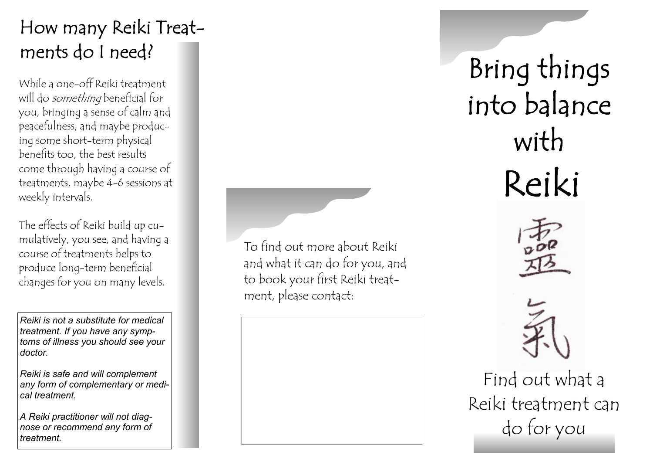### How many Reiki Treatments do I need?

While a one-off Reiki treatment will do *something* beneficial for you, bringing a sense of calm and peacefulness, and maybe producing some short-term physical benefits too, the best results come through having a course of treatments, maybe 4-6 sessions at weekly intervals.

The effects of Reiki build up cumulatively, you see, and having a course of treatments helps to produce long-term beneficial changes for you on many levels.

*Reiki is not a substitute for medical treatment. If you have any symptoms of illness you should see your doctor.* 

*Reiki is safe and will complement any form of complementary or medical treatment.* 

*A Reiki practitioner will not diagnose or recommend any form of treatment.* 

To find out more about Reiki and what it can do for you, and to book your first Reiki treatment, please contact:

Bring things into balance with Reiki





Find out what a Reiki treatment can do for you